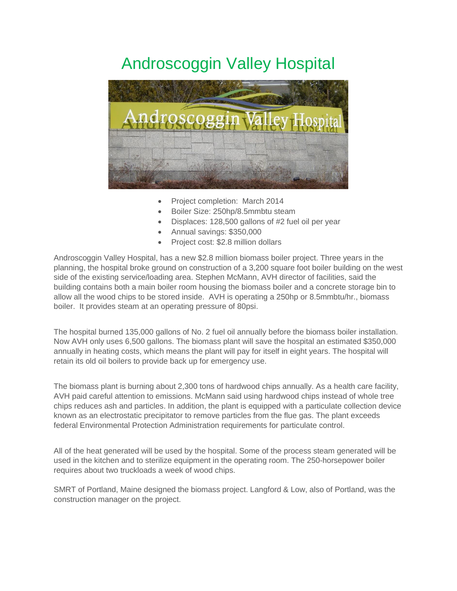## Androscoggin Valley Hospital



- Project completion: March 2014
- Boiler Size: 250hp/8.5mmbtu steam
- Displaces: 128,500 gallons of #2 fuel oil per year
- Annual savings: \$350,000
- Project cost: \$2.8 million dollars

Androscoggin Valley Hospital, has a new \$2.8 million biomass boiler project. Three years in the planning, the hospital broke ground on construction of a 3,200 square foot boiler building on the west side of the existing service/loading area. Stephen McMann, AVH director of facilities, said the building contains both a main boiler room housing the biomass boiler and a concrete storage bin to allow all the wood chips to be stored inside. AVH is operating a 250hp or 8.5mmbtu/hr., biomass boiler. It provides steam at an operating pressure of 80psi.

The hospital burned 135,000 gallons of No. 2 fuel oil annually before the biomass boiler installation. Now AVH only uses 6,500 gallons. The biomass plant will save the hospital an estimated \$350,000 annually in heating costs, which means the plant will pay for itself in eight years. The hospital will retain its old oil boilers to provide back up for emergency use.

The biomass plant is burning about 2,300 tons of hardwood chips annually. As a health care facility, AVH paid careful attention to emissions. McMann said using hardwood chips instead of whole tree chips reduces ash and particles. In addition, the plant is equipped with a particulate collection device known as an electrostatic precipitator to remove particles from the flue gas. The plant exceeds federal Environmental Protection Administration requirements for particulate control.

All of the heat generated will be used by the hospital. Some of the process steam generated will be used in the kitchen and to sterilize equipment in the operating room. The 250-horsepower boiler requires about two truckloads a week of wood chips.

SMRT of Portland, Maine designed the biomass project. Langford & Low, also of Portland, was the construction manager on the project.